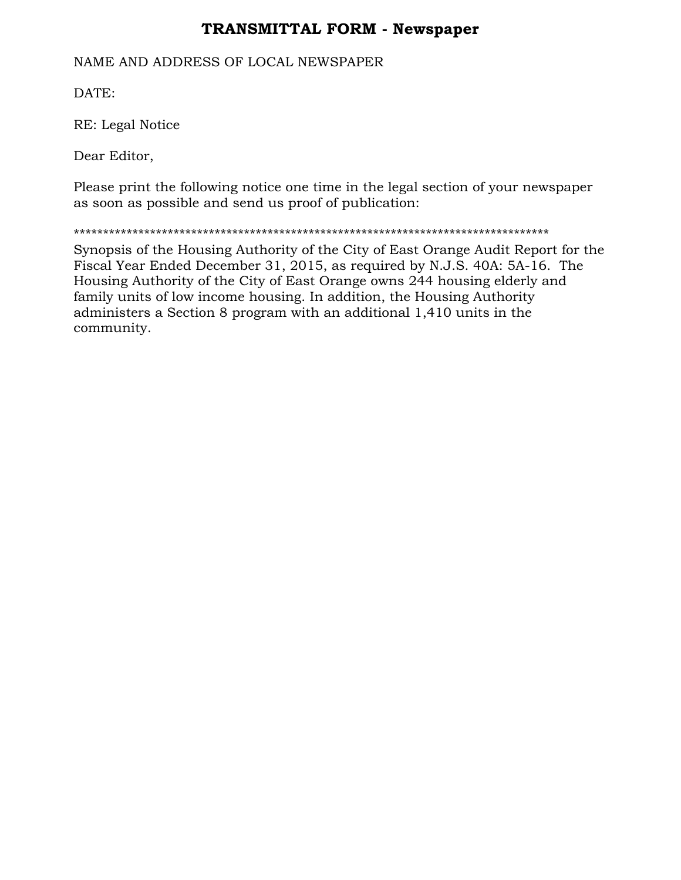## **TRANSMITTAL FORM - Newspaper**

#### NAME AND ADDRESS OF LOCAL NEWSPAPER

DATE:

RE: Legal Notice

Dear Editor,

Please print the following notice one time in the legal section of your newspaper as soon as possible and send us proof of publication:

\*\*\*\*\*\*\*\*\*\*\*\*\*\*\*\*\*\*\*\*\*\*\*\*\*\*\*\*\*\*\*\*\*\*\*\*\*\*\*\*\*\*\*\*\*\*\*\*\*\*\*\*\*\*\*\*\*\*\*\*\*\*\*\*\*\*\*\*\*\*\*\*\*\*\*\*\*\*\*\*\*

Synopsis of the Housing Authority of the City of East Orange Audit Report for the Fiscal Year Ended December 31, 2015, as required by N.J.S. 40A: 5A-16. The Housing Authority of the City of East Orange owns 244 housing elderly and family units of low income housing. In addition, the Housing Authority administers a Section 8 program with an additional 1,410 units in the community.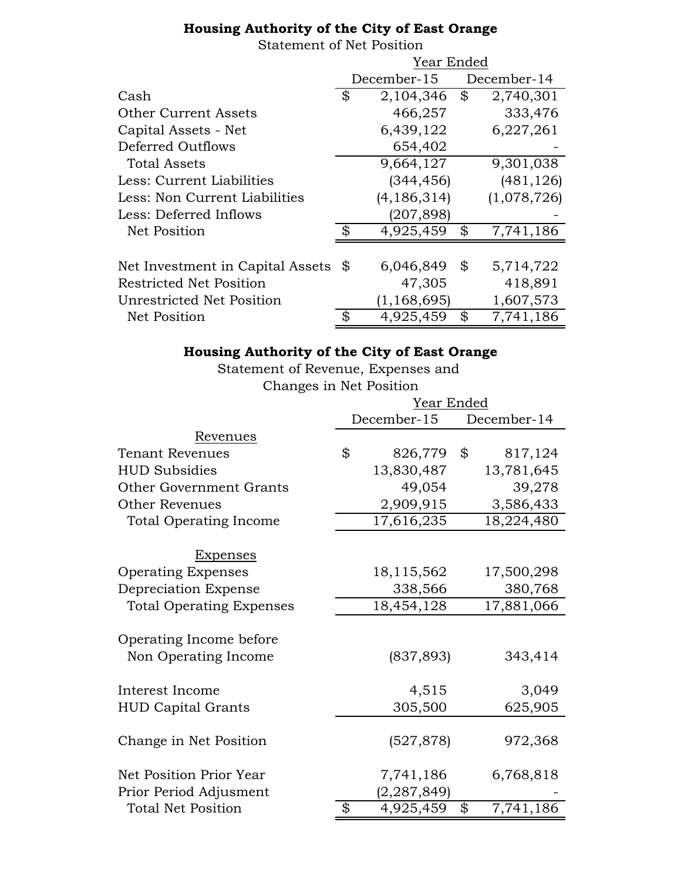### **Housing Authority of the City of East Orange**

#### Statement of Net Position

|                                  | Year Ended                 |               |    |             |
|----------------------------------|----------------------------|---------------|----|-------------|
|                                  |                            | December-15   |    | December-14 |
| Cash                             | \$                         | 2,104,346     | \$ | 2,740,301   |
| <b>Other Current Assets</b>      |                            | 466,257       |    | 333,476     |
| Capital Assets - Net             |                            | 6,439,122     |    | 6,227,261   |
| Deferred Outflows                |                            | 654,402       |    |             |
| <b>Total Assets</b>              |                            | 9,664,127     |    | 9,301,038   |
| Less: Current Liabilities        |                            | (344, 456)    |    | (481, 126)  |
| Less: Non Current Liabilities    |                            | (4, 186, 314) |    | (1,078,726) |
| Less: Deferred Inflows           |                            | (207, 898)    |    |             |
| Net Position                     | $\boldsymbol{\mathcal{S}}$ | 4,925,459     | \$ | 7,741,186   |
|                                  |                            |               |    |             |
| Net Investment in Capital Assets | \$                         | 6,046,849     | \$ | 5,714,722   |
| <b>Restricted Net Position</b>   |                            | 47,305        |    | 418,891     |
| Unrestricted Net Position        |                            | (1, 168, 695) |    | 1,607,573   |
| <b>Net Position</b>              | ऊ                          | 4,925,459     | \$ | 7,741,186   |

# **Housing Authority of the City of East Orange**

Statement of Revenue, Expenses and Changes in Net Position

|                                                 | Year Ended  |               |             |            |
|-------------------------------------------------|-------------|---------------|-------------|------------|
|                                                 | December-15 |               | December-14 |            |
| Revenues                                        |             |               |             |            |
| <b>Tenant Revenues</b>                          | \$          | 826,779       | \$          | 817,124    |
| <b>HUD Subsidies</b>                            |             | 13,830,487    |             | 13,781,645 |
| Other Government Grants                         |             | 49,054        |             | 39,278     |
| <b>Other Revenues</b>                           |             | 2,909,915     |             | 3,586,433  |
| <b>Total Operating Income</b>                   |             | 17,616,235    |             | 18,224,480 |
| Expenses                                        |             |               |             |            |
| <b>Operating Expenses</b>                       |             | 18,115,562    |             | 17,500,298 |
| Depreciation Expense                            |             | 338,566       |             | 380,768    |
| <b>Total Operating Expenses</b>                 |             | 18,454,128    |             | 17,881,066 |
| Operating Income before<br>Non Operating Income |             | (837, 893)    |             | 343,414    |
| Interest Income                                 |             | 4,515         |             | 3,049      |
| <b>HUD Capital Grants</b>                       |             | 305,500       |             | 625,905    |
| Change in Net Position                          |             | (527, 878)    |             | 972,368    |
| Net Position Prior Year                         |             | 7,741,186     |             | 6,768,818  |
| Prior Period Adjusment                          |             | (2, 287, 849) |             |            |
| <b>Total Net Position</b>                       | \$          | 4,925,459     | \$          | 7,741,186  |